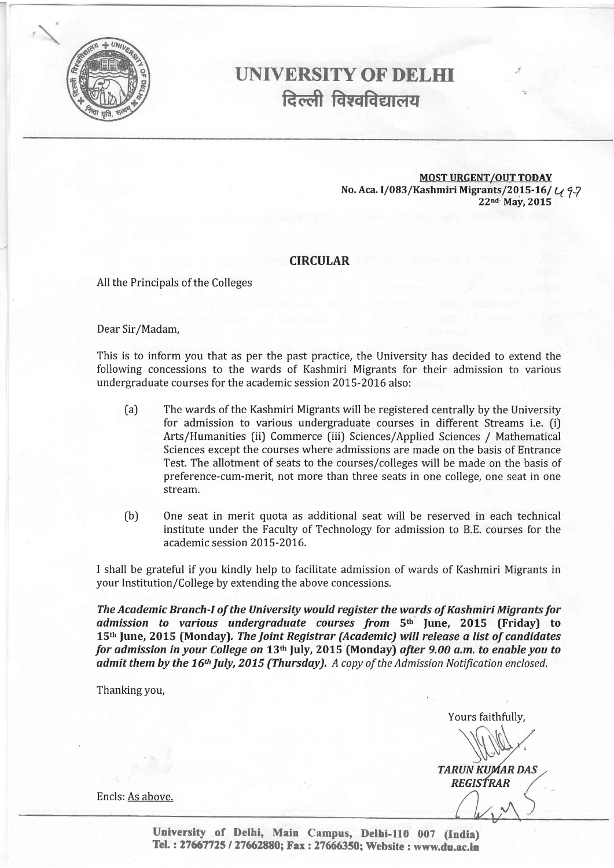

# T.INIVERSITY OF DELHI दिल्ली विश्वविद्यालय

MOST URGENT/OUT TOpAY No. Aca. I/083/Kashmiri Migrants/2015-16/ $U_1$  9-7<br>22nd May, 2015

#### CIRCULAR

All the Principals of the Colleges

Dear Sir/Madam,

This is to inform you that as per the past practice, the University has decided to extend the following concessions to the wards of Kashmiri Migrants for their admission to various undergraduate courses for the academic session 2015-2016 also:

- (a) The wards of the Kashmiri Migrants will be registered centrally by the University for admission to various undergraduate courses in different Streams i.e. (i) Arts/Humanities [ii) Commerce [iii) Sciences/Applied Sciences / Mathematical Sciences except the courses where admissions are made on the basis of Entrance Test. The allotment of seats to the courses/colleges will be made on the basis of preference-cum-merit, not more than three seats in one college, one seat in one stream.
- (b) One seat in merit quota as additional seat will be reserved in each technical institute under the Faculty of Technology for admission to B.E. courses for the academic session 2015-2016.

I shall be grateful if you kindly help to facilitate admission of wards of Kashmiri Migrants in your Institution/College by extending the above concessions.

The Academic Branch-I of the University would register the wards of Kashmiri Migrants for admission to various undergraduate courses from 5<sup>th</sup> June, 2015 (Friday) to 15th June, 2015 (Monday). The Joint Registrar (Academic) will release a list of candidates for admission in your College on 13<sup>th</sup> July, 2015 (Monday) after 9.00 a.m. to enable you to admit them by the 16<sup>th</sup> July, 2015 (Thursday). A copy of the Admission Notification enclosed.

Thanking you,

Yours faithfully,

**TARUN KUMAR DAS REGISTRAR** 

Encls: As above.

University of Delhi, Main Campus, Delhi-110 007 (India) Tel. : 27667725 / 27662880; Fax : 27666350; Website : www.du.ac.in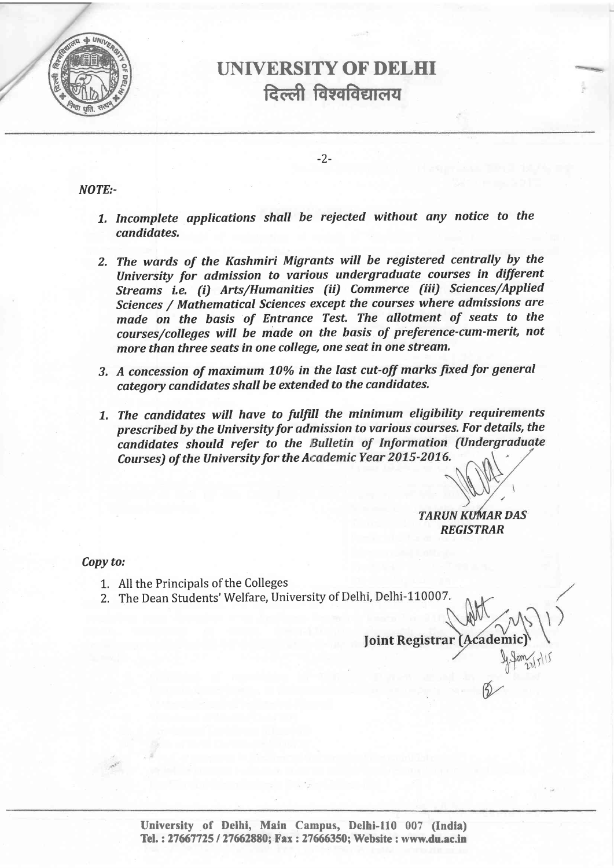

### UNIVERSITY OF DELHI दिल्ली विश्वविद्यालय

-2-

NOTE:-

- 7, Incomplete applications shall be reiected without any notice to the candidates.
- 2. The wards of the Kashmiri Migrants will be registered centrally by the University for admission to various undergraduate courses in different Streams i.e. (i) Arts/Humanities (ii) Commerce (iii) Sciences/Applied Sciences / Mathematical Sciences except the courses where admissions are made on the basis of Entrance Test, The allotment of seats to the courses/colleges will be made on the basis of preference-cum-merit, not more than three seats in one college, one seat in one stream.
- 3. A concession of maximum 10% in the last cut-off marks fixed for general category candidates shall be extended to the candidates.
- 7. The candidates will have to fulfiIl the minimum eligibility requirements prescribed by the University for admission to various courses. For details, the candidates should refer to the Bulletin of Information (Undergraduate Courses) of the University for the Academic Year 2015-2016.

**TARUN KUMAR DAS REGISTRAR** 

Copy to:

- All the Principals of the Colleges 1.
- 2. The Dean Students' Welfare, University of I

**Joint Registrar (Academ**